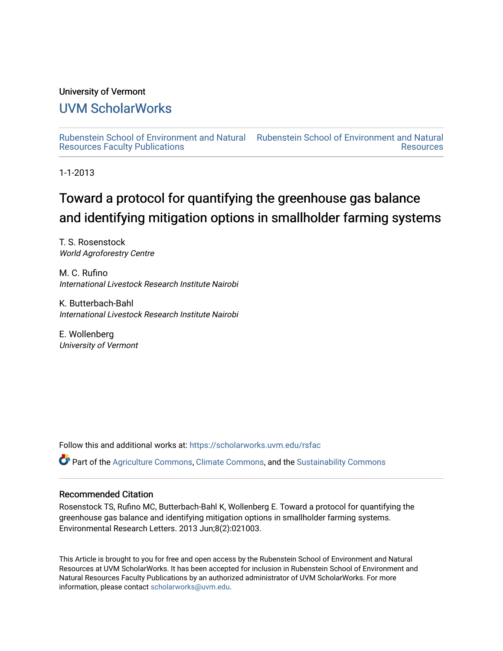## University of Vermont

# [UVM ScholarWorks](https://scholarworks.uvm.edu/)

[Rubenstein School of Environment and Natural](https://scholarworks.uvm.edu/rsfac) [Rubenstein School of Environment and Natural](https://scholarworks.uvm.edu/rs)  [Resources Faculty Publications](https://scholarworks.uvm.edu/rsfac)  [Resources](https://scholarworks.uvm.edu/rs) 

1-1-2013

# Toward a protocol for quantifying the greenhouse gas balance and identifying mitigation options in smallholder farming systems

T. S. Rosenstock World Agroforestry Centre

M. C. Rufino International Livestock Research Institute Nairobi

K. Butterbach-Bahl International Livestock Research Institute Nairobi

E. Wollenberg University of Vermont

Follow this and additional works at: [https://scholarworks.uvm.edu/rsfac](https://scholarworks.uvm.edu/rsfac?utm_source=scholarworks.uvm.edu%2Frsfac%2F69&utm_medium=PDF&utm_campaign=PDFCoverPages) 

Part of the [Agriculture Commons](http://network.bepress.com/hgg/discipline/1076?utm_source=scholarworks.uvm.edu%2Frsfac%2F69&utm_medium=PDF&utm_campaign=PDFCoverPages), [Climate Commons](http://network.bepress.com/hgg/discipline/188?utm_source=scholarworks.uvm.edu%2Frsfac%2F69&utm_medium=PDF&utm_campaign=PDFCoverPages), and the [Sustainability Commons](http://network.bepress.com/hgg/discipline/1031?utm_source=scholarworks.uvm.edu%2Frsfac%2F69&utm_medium=PDF&utm_campaign=PDFCoverPages) 

#### Recommended Citation

Rosenstock TS, Rufino MC, Butterbach-Bahl K, Wollenberg E. Toward a protocol for quantifying the greenhouse gas balance and identifying mitigation options in smallholder farming systems. Environmental Research Letters. 2013 Jun;8(2):021003.

This Article is brought to you for free and open access by the Rubenstein School of Environment and Natural Resources at UVM ScholarWorks. It has been accepted for inclusion in Rubenstein School of Environment and Natural Resources Faculty Publications by an authorized administrator of UVM ScholarWorks. For more information, please contact [scholarworks@uvm.edu.](mailto:scholarworks@uvm.edu)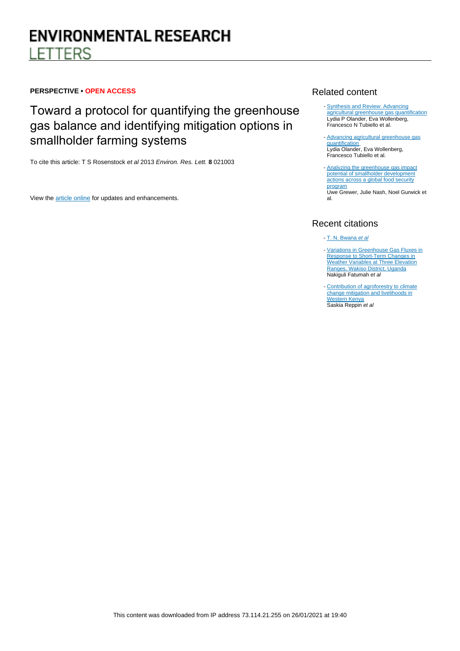# **ENVIRONMENTAL RESEARCH ETTERS**

## **PERSPECTIVE • OPEN ACCESS**

Toward a protocol for quantifying the greenhouse gas balance and identifying mitigation options in smallholder farming systems

To cite this article: T S Rosenstock et al 2013 Environ. Res. Lett. **8** 021003

View the [article online](https://doi.org/10.1088/1748-9326/8/2/021003) for updates and enhancements.

# Related content

- [Synthesis and Review: Advancing](/article/10.1088/1748-9326/9/7/075003) [agricultural greenhouse gas quantification](/article/10.1088/1748-9326/9/7/075003) Lydia P Olander, Eva Wollenberg, Francesco N Tubiello et al.
- [Advancing agricultural greenhouse gas](/article/10.1088/1748-9326/8/1/011002) [quantification](/article/10.1088/1748-9326/8/1/011002)<sup>\*</sup> Lydia Olander, Eva Wollenberg, Francesco Tubiello et al.
- [Analyzing the greenhouse gas impact](/article/10.1088/1748-9326/aab0b0) [potential of smallholder development](/article/10.1088/1748-9326/aab0b0) [actions across a global food security](/article/10.1088/1748-9326/aab0b0) [program](/article/10.1088/1748-9326/aab0b0) Uwe Grewer, Julie Nash, Noel Gurwick et al.

# Recent citations

- [T. N. Bwana](http://dx.doi.org/10.1007/978-3-030-37537-9_10) et al
- [Variations in Greenhouse Gas Fluxes in](http://dx.doi.org/10.3390/atmos10110708) [Response to Short-Term Changes in](http://dx.doi.org/10.3390/atmos10110708) [Weather Variables at Three Elevation](http://dx.doi.org/10.3390/atmos10110708) [Ranges, Wakiso District, Uganda](http://dx.doi.org/10.3390/atmos10110708) Nakiguli Fatumah et al
- [Contribution of agroforestry to climate](http://dx.doi.org/10.1007/s10457-019-00383-7) [change mitigation and livelihoods in](http://dx.doi.org/10.1007/s10457-019-00383-7) [Western Kenya](http://dx.doi.org/10.1007/s10457-019-00383-7) Saskia Reppin et al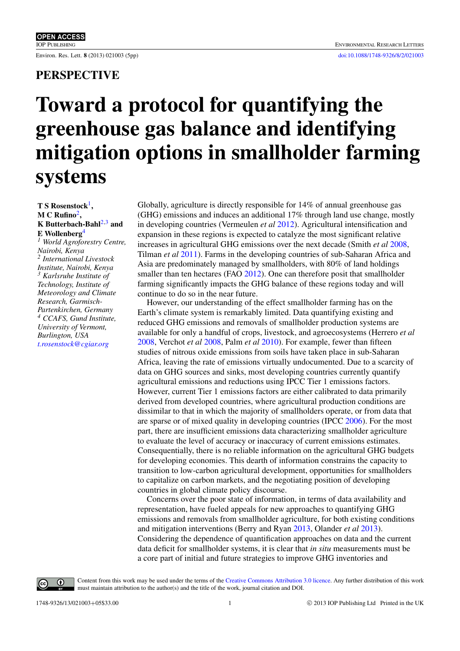# PERSPECTIVE

# Toward a protocol for quantifying the greenhouse gas balance and identifying mitigation options in smallholder farming systems

## T S Rosenstock<sup>[1](#page-2-0)</sup>,  $\,$  M  $\,$  C  $\,$  Rufino $^2,$  $^2,$  $^2,$ K Butterbach-Bahl $^{2,3}$  $^{2,3}$  $^{2,3}$  $^{2,3}$  and E Wollenberg<sup>[4](#page-2-3)</sup>

<span id="page-2-3"></span><span id="page-2-2"></span><span id="page-2-1"></span><span id="page-2-0"></span>*<sup>1</sup> World Agroforestry Centre, Nairobi, Kenya 2 International Livestock Institute, Nairobi, Kenya <sup>3</sup> Karlsruhe Institute of Technology, Institute of Meteorology and Climate Research, Garmisch-Partenkirchen, Germany <sup>4</sup> CCAFS, Gund Institute, University of Vermont, Burlington, USA [t.rosenstock@cgiar.org](mailto:t.rosenstock@cgiar.org)*

Globally, agriculture is directly responsible for 14% of annual greenhouse gas (GHG) emissions and induces an additional 17% through land use change, mostly in developing countries (Vermeulen *et al* [2012\)](#page-6-0). Agricultural intensification and expansion in these regions is expected to catalyze the most significant relative increases in agricultural GHG emissions over the next decade (Smith *et al* [2008,](#page-6-1) Tilman *et al* [2011\)](#page-6-2). Farms in the developing countries of sub-Saharan Africa and Asia are predominately managed by smallholders, with 80% of land holdings smaller than ten hectares (FAO [2012\)](#page-6-3). One can therefore posit that smallholder farming significantly impacts the GHG balance of these regions today and will continue to do so in the near future.

However, our understanding of the effect smallholder farming has on the Earth's climate system is remarkably limited. Data quantifying existing and reduced GHG emissions and removals of smallholder production systems are available for only a handful of crops, livestock, and agroecosystems (Herrero *et al* [2008,](#page-6-4) Verchot *et al* [2008,](#page-6-5) Palm *et al* [2010\)](#page-6-6). For example, fewer than fifteen studies of nitrous oxide emissions from soils have taken place in sub-Saharan Africa, leaving the rate of emissions virtually undocumented. Due to a scarcity of data on GHG sources and sinks, most developing countries currently quantify agricultural emissions and reductions using IPCC Tier 1 emissions factors. However, current Tier 1 emissions factors are either calibrated to data primarily derived from developed countries, where agricultural production conditions are dissimilar to that in which the majority of smallholders operate, or from data that are sparse or of mixed quality in developing countries (IPCC [2006\)](#page-6-7). For the most part, there are insufficient emissions data characterizing smallholder agriculture to evaluate the level of accuracy or inaccuracy of current emissions estimates. Consequentially, there is no reliable information on the agricultural GHG budgets for developing economies. This dearth of information constrains the capacity to transition to low-carbon agricultural development, opportunities for smallholders to capitalize on carbon markets, and the negotiating position of developing countries in global climate policy discourse.

Concerns over the poor state of information, in terms of data availability and representation, have fueled appeals for new approaches to quantifying GHG emissions and removals from smallholder agriculture, for both existing conditions and mitigation interventions (Berry and Ryan [2013,](#page-5-0) Olander *et al* [2013\)](#page-6-8). Considering the dependence of quantification approaches on data and the current data deficit for smallholder systems, it is clear that *in situ* measurements must be a core part of initial and future strategies to improve GHG inventories and



Content from this work may be used under the terms of the [Creative Commons Attribution 3.0 licence.](http://creativecommons.org/licenses/by/3.0) Any further distribution of this work must maintain attribution to the author(s) and the title of the work, journal citation and DOI.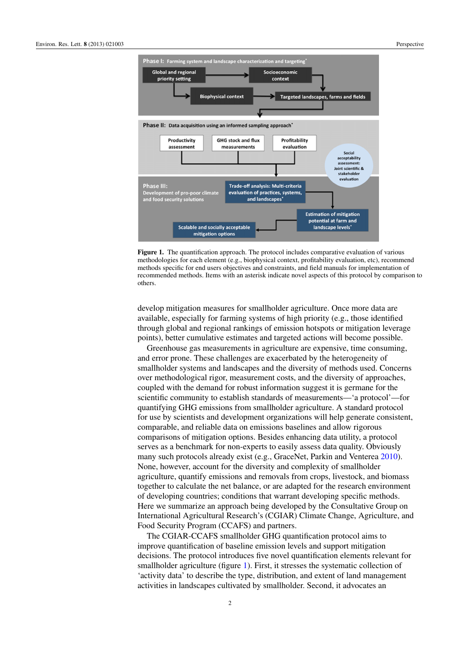<span id="page-3-0"></span>

Figure 1. The quantification approach. The protocol includes comparative evaluation of various methodologies for each element (e.g., biophysical context, profitability evaluation, etc), recommend methods specific for end users objectives and constraints, and field manuals for implementation of recommended methods. Items with an asterisk indicate novel aspects of this protocol by comparison to others.

develop mitigation measures for smallholder agriculture. Once more data are available, especially for farming systems of high priority (e.g., those identified through global and regional rankings of emission hotspots or mitigation leverage points), better cumulative estimates and targeted actions will become possible.

Greenhouse gas measurements in agriculture are expensive, time consuming, and error prone. These challenges are exacerbated by the heterogeneity of smallholder systems and landscapes and the diversity of methods used. Concerns over methodological rigor, measurement costs, and the diversity of approaches, coupled with the demand for robust information suggest it is germane for the scientific community to establish standards of measurements—'a protocol'—for quantifying GHG emissions from smallholder agriculture. A standard protocol for use by scientists and development organizations will help generate consistent, comparable, and reliable data on emissions baselines and allow rigorous comparisons of mitigation options. Besides enhancing data utility, a protocol serves as a benchmark for non-experts to easily assess data quality. Obviously many such protocols already exist (e.g., GraceNet, Parkin and Venterea [2010\)](#page-6-9). None, however, account for the diversity and complexity of smallholder agriculture, quantify emissions and removals from crops, livestock, and biomass together to calculate the net balance, or are adapted for the research environment of developing countries; conditions that warrant developing specific methods. Here we summarize an approach being developed by the Consultative Group on International Agricultural Research's (CGIAR) Climate Change, Agriculture, and Food Security Program (CCAFS) and partners.

The CGIAR-CCAFS smallholder GHG quantification protocol aims to improve quantification of baseline emission levels and support mitigation decisions. The protocol introduces five novel quantification elements relevant for smallholder agriculture (figure [1\)](#page-3-0). First, it stresses the systematic collection of 'activity data' to describe the type, distribution, and extent of land management activities in landscapes cultivated by smallholder. Second, it advocates an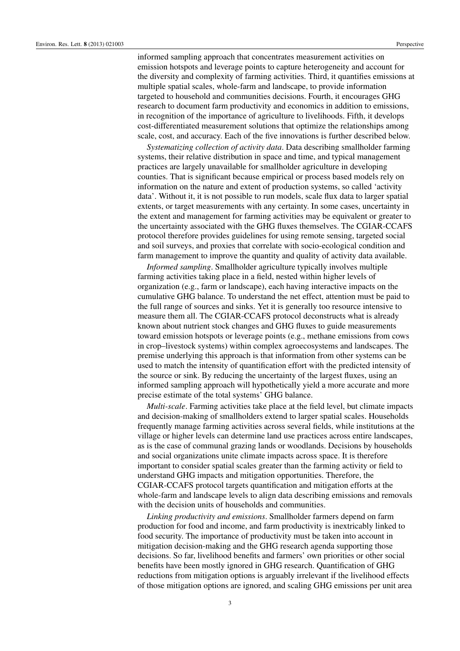informed sampling approach that concentrates measurement activities on emission hotspots and leverage points to capture heterogeneity and account for the diversity and complexity of farming activities. Third, it quantifies emissions at multiple spatial scales, whole-farm and landscape, to provide information targeted to household and communities decisions. Fourth, it encourages GHG research to document farm productivity and economics in addition to emissions, in recognition of the importance of agriculture to livelihoods. Fifth, it develops cost-differentiated measurement solutions that optimize the relationships among scale, cost, and accuracy. Each of the five innovations is further described below.

*Systematizing collection of activity data*. Data describing smallholder farming systems, their relative distribution in space and time, and typical management practices are largely unavailable for smallholder agriculture in developing counties. That is significant because empirical or process based models rely on information on the nature and extent of production systems, so called 'activity data'. Without it, it is not possible to run models, scale flux data to larger spatial extents, or target measurements with any certainty. In some cases, uncertainty in the extent and management for farming activities may be equivalent or greater to the uncertainty associated with the GHG fluxes themselves. The CGIAR-CCAFS protocol therefore provides guidelines for using remote sensing, targeted social and soil surveys, and proxies that correlate with socio-ecological condition and farm management to improve the quantity and quality of activity data available.

*Informed sampling*. Smallholder agriculture typically involves multiple farming activities taking place in a field, nested within higher levels of organization (e.g., farm or landscape), each having interactive impacts on the cumulative GHG balance. To understand the net effect, attention must be paid to the full range of sources and sinks. Yet it is generally too resource intensive to measure them all. The CGIAR-CCAFS protocol deconstructs what is already known about nutrient stock changes and GHG fluxes to guide measurements toward emission hotspots or leverage points (e.g., methane emissions from cows in crop–livestock systems) within complex agroecosystems and landscapes. The premise underlying this approach is that information from other systems can be used to match the intensity of quantification effort with the predicted intensity of the source or sink. By reducing the uncertainty of the largest fluxes, using an informed sampling approach will hypothetically yield a more accurate and more precise estimate of the total systems' GHG balance.

*Multi-scale*. Farming activities take place at the field level, but climate impacts and decision-making of smallholders extend to larger spatial scales. Households frequently manage farming activities across several fields, while institutions at the village or higher levels can determine land use practices across entire landscapes, as is the case of communal grazing lands or woodlands. Decisions by households and social organizations unite climate impacts across space. It is therefore important to consider spatial scales greater than the farming activity or field to understand GHG impacts and mitigation opportunities. Therefore, the CGIAR-CCAFS protocol targets quantification and mitigation efforts at the whole-farm and landscape levels to align data describing emissions and removals with the decision units of households and communities.

*Linking productivity and emissions*. Smallholder farmers depend on farm production for food and income, and farm productivity is inextricably linked to food security. The importance of productivity must be taken into account in mitigation decision-making and the GHG research agenda supporting those decisions. So far, livelihood benefits and farmers' own priorities or other social benefits have been mostly ignored in GHG research. Quantification of GHG reductions from mitigation options is arguably irrelevant if the livelihood effects of those mitigation options are ignored, and scaling GHG emissions per unit area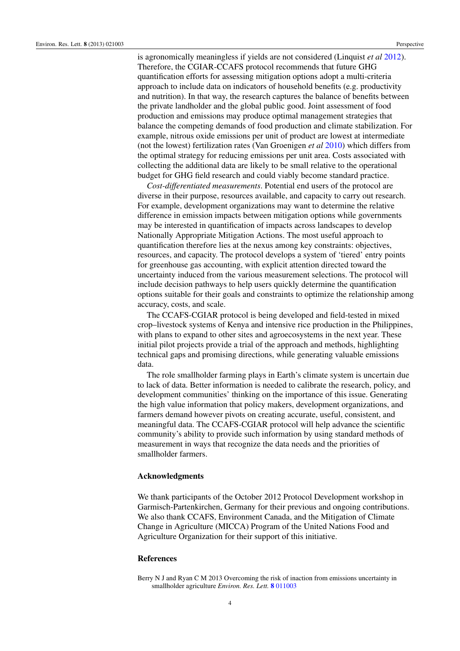is agronomically meaningless if yields are not considered (Linquist *et al* [2012\)](#page-6-10). Therefore, the CGIAR-CCAFS protocol recommends that future GHG quantification efforts for assessing mitigation options adopt a multi-criteria approach to include data on indicators of household benefits (e.g. productivity and nutrition). In that way, the research captures the balance of benefits between the private landholder and the global public good. Joint assessment of food production and emissions may produce optimal management strategies that balance the competing demands of food production and climate stabilization. For example, nitrous oxide emissions per unit of product are lowest at intermediate (not the lowest) fertilization rates (Van Groenigen *et al* [2010\)](#page-6-11) which differs from the optimal strategy for reducing emissions per unit area. Costs associated with collecting the additional data are likely to be small relative to the operational budget for GHG field research and could viably become standard practice.

*Cost-differentiated measurements*. Potential end users of the protocol are diverse in their purpose, resources available, and capacity to carry out research. For example, development organizations may want to determine the relative difference in emission impacts between mitigation options while governments may be interested in quantification of impacts across landscapes to develop Nationally Appropriate Mitigation Actions. The most useful approach to quantification therefore lies at the nexus among key constraints: objectives, resources, and capacity. The protocol develops a system of 'tiered' entry points for greenhouse gas accounting, with explicit attention directed toward the uncertainty induced from the various measurement selections. The protocol will include decision pathways to help users quickly determine the quantification options suitable for their goals and constraints to optimize the relationship among accuracy, costs, and scale.

The CCAFS-CGIAR protocol is being developed and field-tested in mixed crop–livestock systems of Kenya and intensive rice production in the Philippines, with plans to expand to other sites and agroecosystems in the next year. These initial pilot projects provide a trial of the approach and methods, highlighting technical gaps and promising directions, while generating valuable emissions data.

The role smallholder farming plays in Earth's climate system is uncertain due to lack of data. Better information is needed to calibrate the research, policy, and development communities' thinking on the importance of this issue. Generating the high value information that policy makers, development organizations, and farmers demand however pivots on creating accurate, useful, consistent, and meaningful data. The CCAFS-CGIAR protocol will help advance the scientific community's ability to provide such information by using standard methods of measurement in ways that recognize the data needs and the priorities of smallholder farmers.

#### Acknowledgments

We thank participants of the October 2012 Protocol Development workshop in Garmisch-Partenkirchen, Germany for their previous and ongoing contributions. We also thank CCAFS, Environment Canada, and the Mitigation of Climate Change in Agriculture (MICCA) Program of the United Nations Food and Agriculture Organization for their support of this initiative.

#### References

<span id="page-5-0"></span>Berry N J and Ryan C M 2013 Overcoming the risk of inaction from emissions uncertainty in smallholder agriculture *Environ. Res. Lett.* [8](http://dx.doi.org/10.1088/1748-9326/8/1/011003) [011003](http://dx.doi.org/10.1088/1748-9326/8/1/011003)